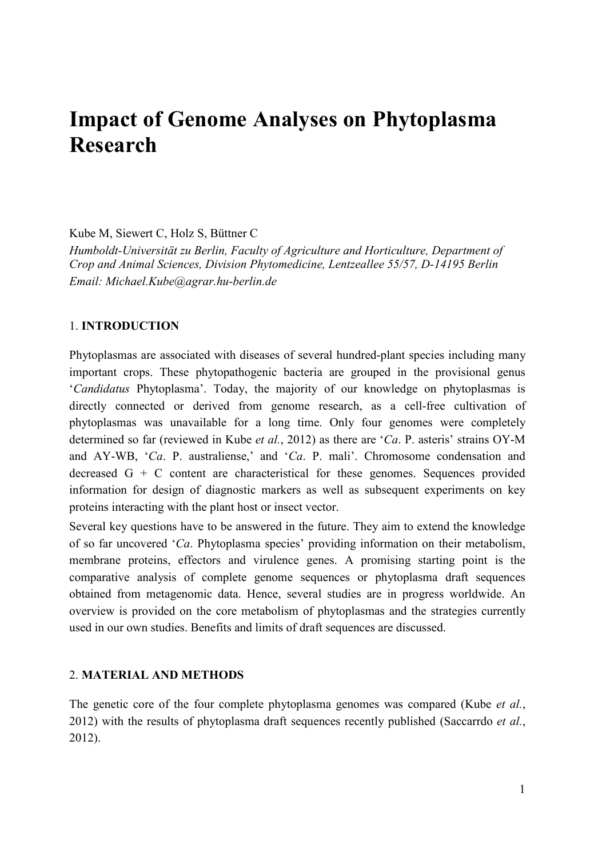# **Impact of Genome Analyses on Phytoplasma Research**

Kube M, Siewert C, Holz S, Büttner C

*Humboldt-Universität zu Berlin, Faculty of Agriculture and Horticulture, Department of Crop and Animal Sciences, Division Phytomedicine, Lentzeallee 55/57, D-14195 Berlin Email: Michael.Kube@agrar.hu-berlin.de* 

#### 1. **INTRODUCTION**

Phytoplasmas are associated with diseases of several hundred-plant species including many important crops. These phytopathogenic bacteria are grouped in the provisional genus '*Candidatus* Phytoplasma'. Today, the majority of our knowledge on phytoplasmas is directly connected or derived from genome research, as a cell-free cultivation of phytoplasmas was unavailable for a long time. Only four genomes were completely determined so far (reviewed in Kube *et al.*, 2012) as there are '*Ca*. P. asteris' strains OY-M and AY-WB, '*Ca*. P. australiense,' and '*Ca*. P. mali'. Chromosome condensation and decreased G + C content are characteristical for these genomes. Sequences provided information for design of diagnostic markers as well as subsequent experiments on key proteins interacting with the plant host or insect vector.

Several key questions have to be answered in the future. They aim to extend the knowledge of so far uncovered '*Ca*. Phytoplasma species' providing information on their metabolism, membrane proteins, effectors and virulence genes. A promising starting point is the comparative analysis of complete genome sequences or phytoplasma draft sequences obtained from metagenomic data. Hence, several studies are in progress worldwide. An overview is provided on the core metabolism of phytoplasmas and the strategies currently used in our own studies. Benefits and limits of draft sequences are discussed.

## 2. **MATERIAL AND METHODS**

The genetic core of the four complete phytoplasma genomes was compared (Kube *et al.*, 2012) with the results of phytoplasma draft sequences recently published (Saccarrdo *et al.*, 2012).